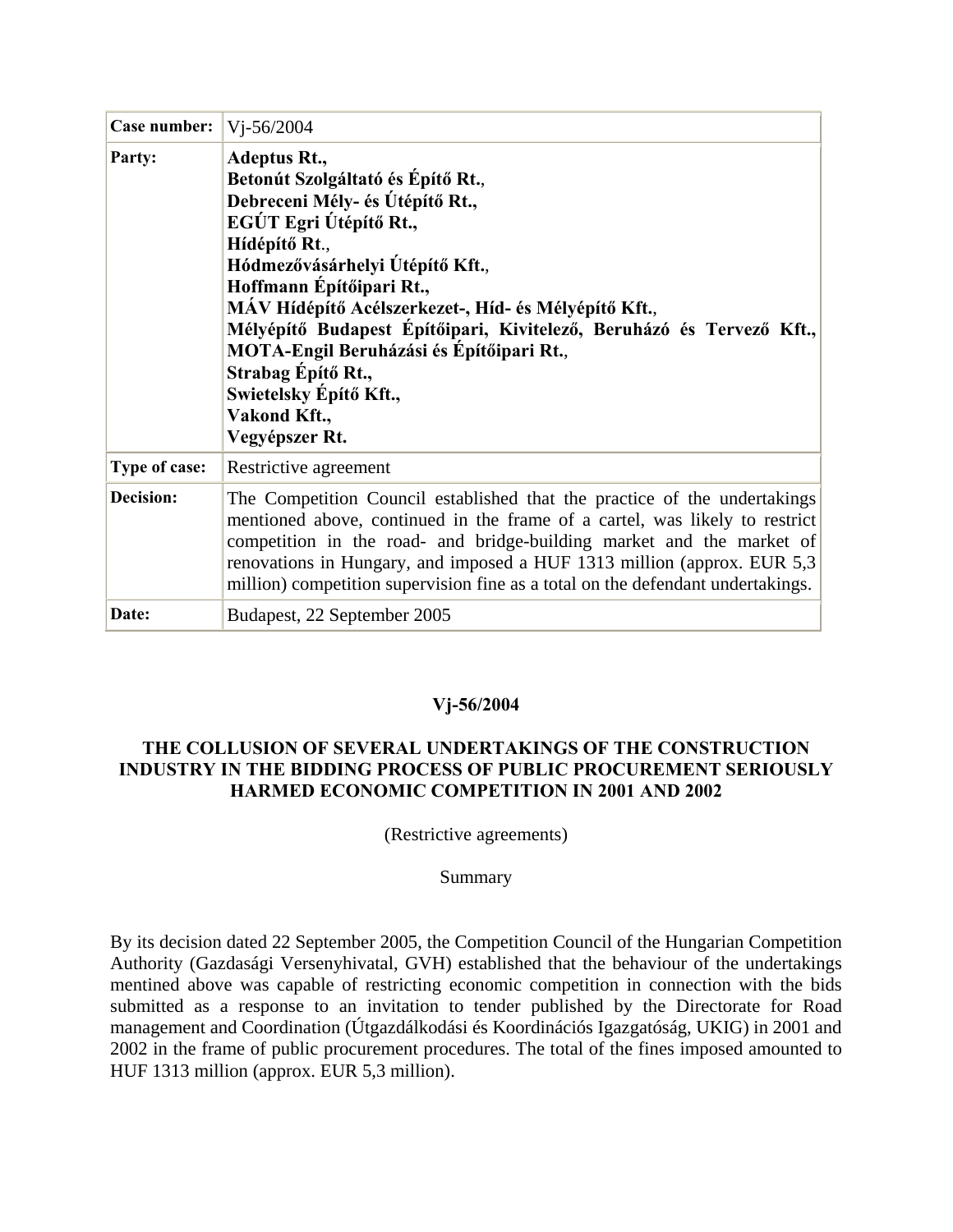| Case number: $ V -56/2004$ |                                                                                                                                                                                                                                                                                                                                                                                                                                                                            |
|----------------------------|----------------------------------------------------------------------------------------------------------------------------------------------------------------------------------------------------------------------------------------------------------------------------------------------------------------------------------------------------------------------------------------------------------------------------------------------------------------------------|
| Party:                     | <b>Adeptus Rt.,</b><br>Betonút Szolgáltató és Építő Rt.,<br>Debreceni Mély- és Útépítő Rt.,<br>EGÚT Egri Útépítő Rt.,<br>Hídépítő Rt.,<br>Hódmezővásárhelyi Útépítő Kft.,<br>Hoffmann Építőipari Rt.,<br>MÁV Hídépítő Acélszerkezet-, Híd- és Mélyépítő Kft.,<br>Mélyépítő Budapest Építőipari, Kivitelező, Beruházó és Tervező Kft.,<br><b>MOTA-Engil Beruházási és Építőipari Rt.,</b><br>Strabag Építő Rt.,<br>Swietelsky Építő Kft.,<br>Vakond Kft.,<br>Vegyépszer Rt. |
| Type of case:              | Restrictive agreement                                                                                                                                                                                                                                                                                                                                                                                                                                                      |
| <b>Decision:</b>           | The Competition Council established that the practice of the undertakings<br>mentioned above, continued in the frame of a cartel, was likely to restrict<br>competition in the road- and bridge-building market and the market of<br>renovations in Hungary, and imposed a HUF 1313 million (approx. EUR 5,3)<br>million) competition supervision fine as a total on the defendant undertakings.                                                                           |
| Date:                      | Budapest, 22 September 2005                                                                                                                                                                                                                                                                                                                                                                                                                                                |

### **Vj-56/2004**

# **THE COLLUSION OF SEVERAL UNDERTAKINGS OF THE CONSTRUCTION INDUSTRY IN THE BIDDING PROCESS OF PUBLIC PROCUREMENT SERIOUSLY HARMED ECONOMIC COMPETITION IN 2001 AND 2002**

(Restrictive agreements)

### Summary

By its decision dated 22 September 2005, the Competition Council of the Hungarian Competition Authority (Gazdasági Versenyhivatal, GVH) established that the behaviour of the undertakings mentined above was capable of restricting economic competition in connection with the bids submitted as a response to an invitation to tender published by the Directorate for Road management and Coordination (Útgazdálkodási és Koordinációs Igazgatóság, UKIG) in 2001 and 2002 in the frame of public procurement procedures. The total of the fines imposed amounted to HUF 1313 million (approx. EUR 5,3 million).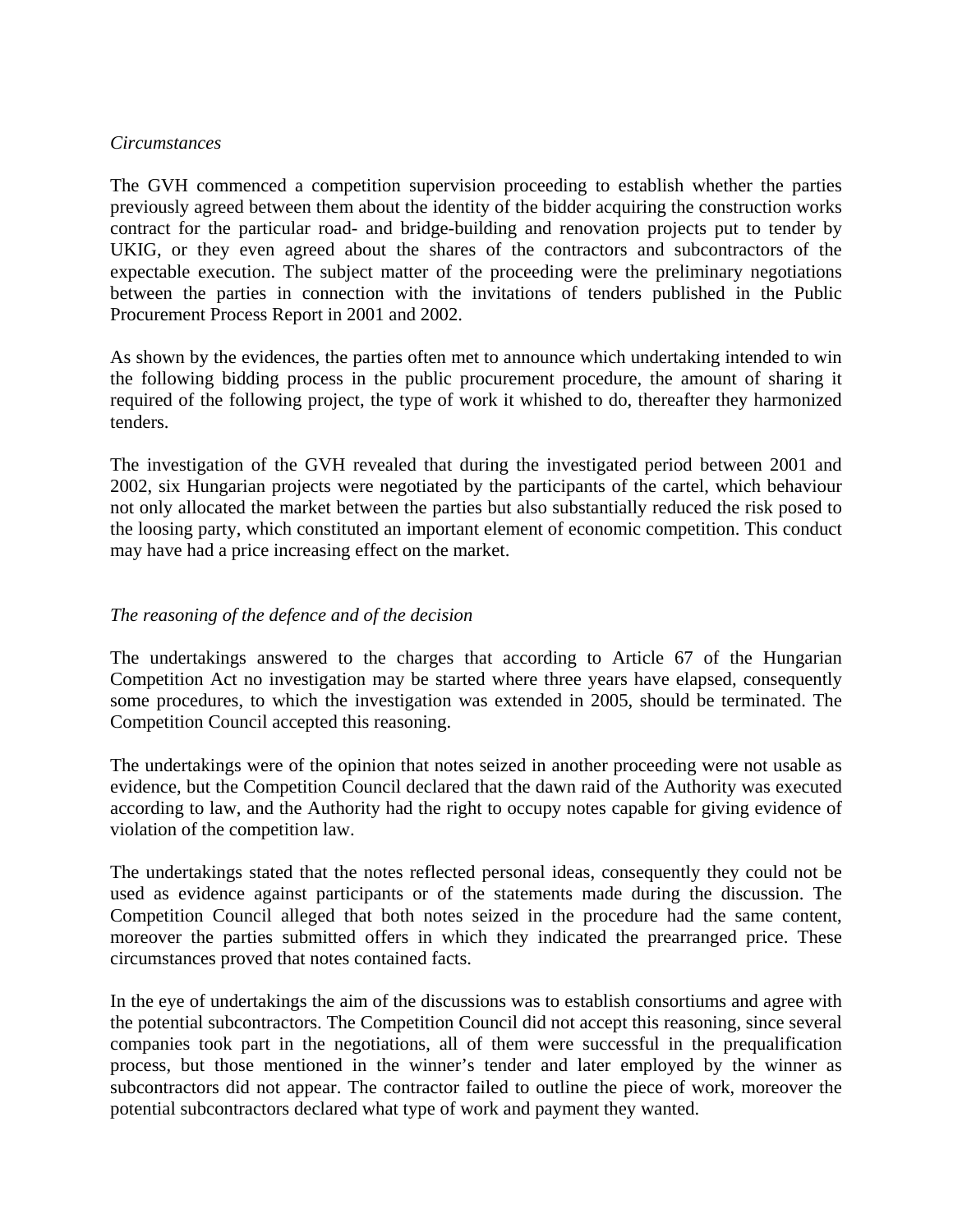#### *Circumstances*

The GVH commenced a competition supervision proceeding to establish whether the parties previously agreed between them about the identity of the bidder acquiring the construction works contract for the particular road- and bridge-building and renovation projects put to tender by UKIG, or they even agreed about the shares of the contractors and subcontractors of the expectable execution. The subject matter of the proceeding were the preliminary negotiations between the parties in connection with the invitations of tenders published in the Public Procurement Process Report in 2001 and 2002.

As shown by the evidences, the parties often met to announce which undertaking intended to win the following bidding process in the public procurement procedure, the amount of sharing it required of the following project, the type of work it whished to do, thereafter they harmonized tenders.

The investigation of the GVH revealed that during the investigated period between 2001 and 2002, six Hungarian projects were negotiated by the participants of the cartel, which behaviour not only allocated the market between the parties but also substantially reduced the risk posed to the loosing party, which constituted an important element of economic competition. This conduct may have had a price increasing effect on the market.

# *The reasoning of the defence and of the decision*

The undertakings answered to the charges that according to Article 67 of the Hungarian Competition Act no investigation may be started where three years have elapsed, consequently some procedures, to which the investigation was extended in 2005, should be terminated. The Competition Council accepted this reasoning.

The undertakings were of the opinion that notes seized in another proceeding were not usable as evidence, but the Competition Council declared that the dawn raid of the Authority was executed according to law, and the Authority had the right to occupy notes capable for giving evidence of violation of the competition law.

The undertakings stated that the notes reflected personal ideas, consequently they could not be used as evidence against participants or of the statements made during the discussion. The Competition Council alleged that both notes seized in the procedure had the same content, moreover the parties submitted offers in which they indicated the prearranged price. These circumstances proved that notes contained facts.

In the eye of undertakings the aim of the discussions was to establish consortiums and agree with the potential subcontractors. The Competition Council did not accept this reasoning, since several companies took part in the negotiations, all of them were successful in the prequalification process, but those mentioned in the winner's tender and later employed by the winner as subcontractors did not appear. The contractor failed to outline the piece of work, moreover the potential subcontractors declared what type of work and payment they wanted.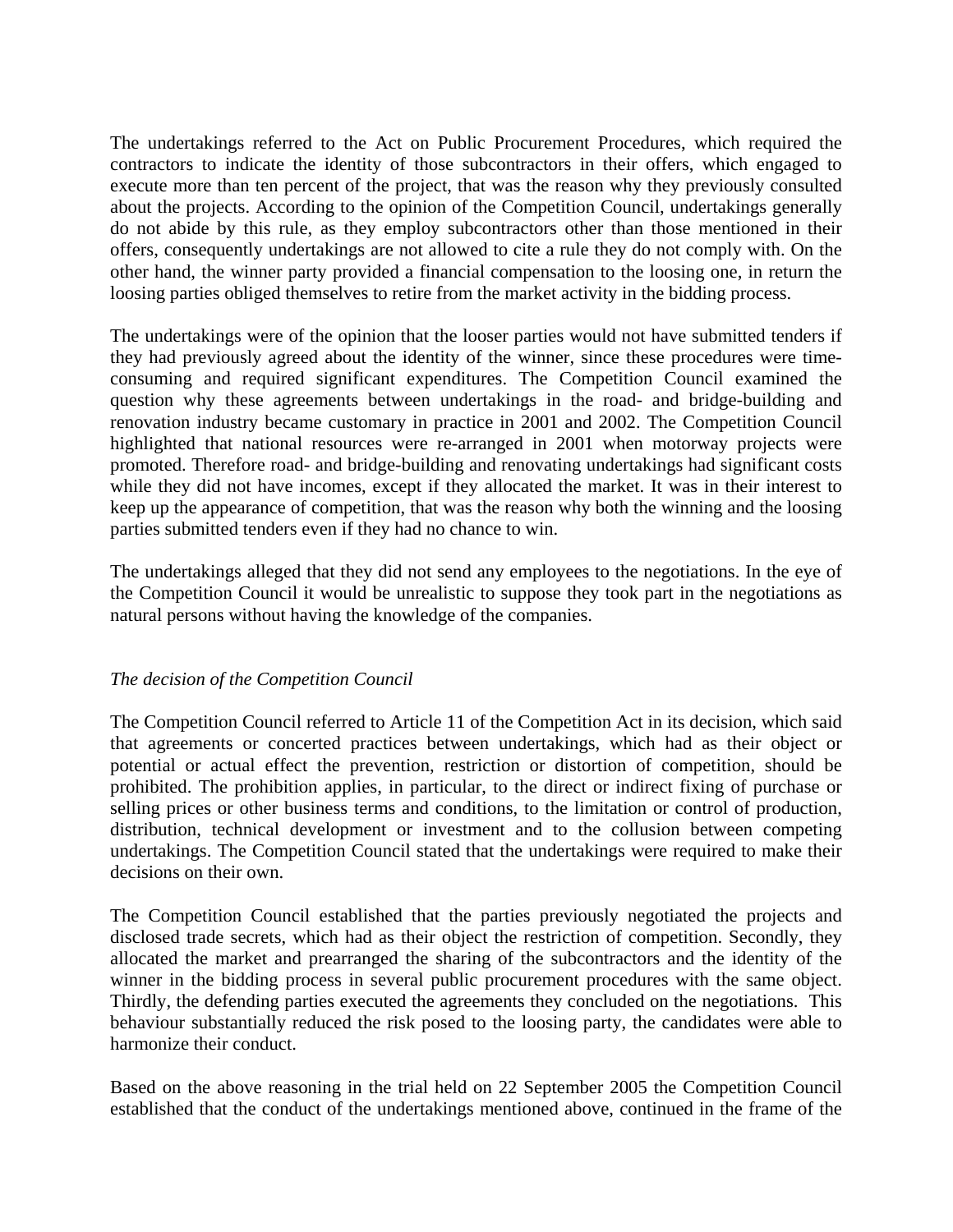The undertakings referred to the Act on Public Procurement Procedures, which required the contractors to indicate the identity of those subcontractors in their offers, which engaged to execute more than ten percent of the project, that was the reason why they previously consulted about the projects. According to the opinion of the Competition Council, undertakings generally do not abide by this rule, as they employ subcontractors other than those mentioned in their offers, consequently undertakings are not allowed to cite a rule they do not comply with. On the other hand, the winner party provided a financial compensation to the loosing one, in return the loosing parties obliged themselves to retire from the market activity in the bidding process.

The undertakings were of the opinion that the looser parties would not have submitted tenders if they had previously agreed about the identity of the winner, since these procedures were timeconsuming and required significant expenditures. The Competition Council examined the question why these agreements between undertakings in the road- and bridge-building and renovation industry became customary in practice in 2001 and 2002. The Competition Council highlighted that national resources were re-arranged in 2001 when motorway projects were promoted. Therefore road- and bridge-building and renovating undertakings had significant costs while they did not have incomes, except if they allocated the market. It was in their interest to keep up the appearance of competition, that was the reason why both the winning and the loosing parties submitted tenders even if they had no chance to win.

The undertakings alleged that they did not send any employees to the negotiations. In the eye of the Competition Council it would be unrealistic to suppose they took part in the negotiations as natural persons without having the knowledge of the companies.

### *The decision of the Competition Council*

The Competition Council referred to Article 11 of the Competition Act in its decision, which said that agreements or concerted practices between undertakings, which had as their object or potential or actual effect the prevention, restriction or distortion of competition, should be prohibited. The prohibition applies, in particular, to the direct or indirect fixing of purchase or selling prices or other business terms and conditions, to the limitation or control of production, distribution, technical development or investment and to the collusion between competing undertakings. The Competition Council stated that the undertakings were required to make their decisions on their own.

The Competition Council established that the parties previously negotiated the projects and disclosed trade secrets, which had as their object the restriction of competition. Secondly, they allocated the market and prearranged the sharing of the subcontractors and the identity of the winner in the bidding process in several public procurement procedures with the same object. Thirdly, the defending parties executed the agreements they concluded on the negotiations. This behaviour substantially reduced the risk posed to the loosing party, the candidates were able to harmonize their conduct.

Based on the above reasoning in the trial held on 22 September 2005 the Competition Council established that the conduct of the undertakings mentioned above, continued in the frame of the